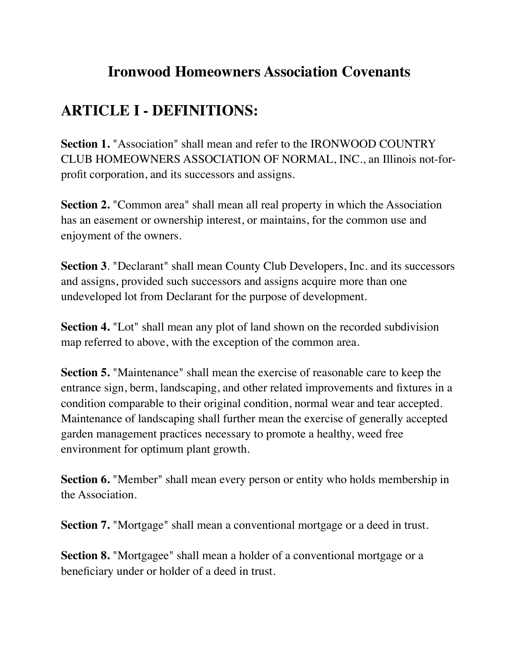## **Ironwood Homeowners Association Covenants**

## **ARTICLE I - DEFINITIONS:**

**Section 1.** "Association" shall mean and refer to the IRONWOOD COUNTRY CLUB HOMEOWNERS ASSOCIATION OF NORMAL, INC., an Illinois not-forprofit corporation, and its successors and assigns.

**Section 2.** "Common area" shall mean all real property in which the Association has an easement or ownership interest, or maintains, for the common use and enjoyment of the owners.

**Section 3**. "Declarant" shall mean County Club Developers, Inc. and its successors and assigns, provided such successors and assigns acquire more than one undeveloped lot from Declarant for the purpose of development.

**Section 4.** "Lot" shall mean any plot of land shown on the recorded subdivision map referred to above, with the exception of the common area.

**Section 5.** "Maintenance" shall mean the exercise of reasonable care to keep the entrance sign, berm, landscaping, and other related improvements and fixtures in a condition comparable to their original condition, normal wear and tear accepted. Maintenance of landscaping shall further mean the exercise of generally accepted garden management practices necessary to promote a healthy, weed free environment for optimum plant growth.

**Section 6.** "Member" shall mean every person or entity who holds membership in the Association.

**Section 7.** "Mortgage" shall mean a conventional mortgage or a deed in trust.

**Section 8.** "Mortgagee" shall mean a holder of a conventional mortgage or a beneficiary under or holder of a deed in trust.